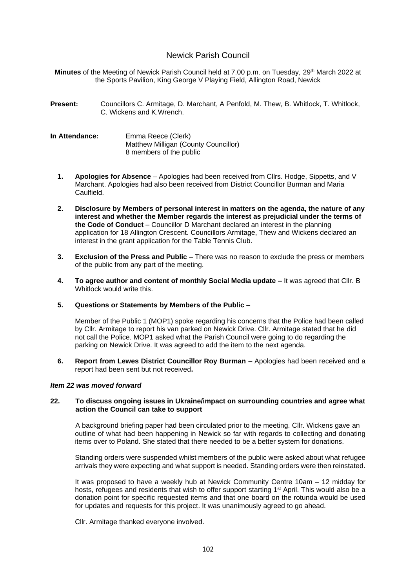# Newick Parish Council

Minutes of the Meeting of Newick Parish Council held at 7.00 p.m. on Tuesday, 29<sup>th</sup> March 2022 at the Sports Pavilion, King George V Playing Field, Allington Road, Newick

**Present:** Councillors C. Armitage, D. Marchant, A Penfold, M. Thew, B. Whitlock, T. Whitlock, C. Wickens and K.Wrench.

**In Attendance:** Emma Reece (Clerk) Matthew Milligan (County Councillor) 8 members of the public

- **1. Apologies for Absence** Apologies had been received from Cllrs. Hodge, Sippetts, and V Marchant. Apologies had also been received from District Councillor Burman and Maria Caulfield.
- **2. Disclosure by Members of personal interest in matters on the agenda, the nature of any interest and whether the Member regards the interest as prejudicial under the terms of the Code of Conduct** – Councillor D Marchant declared an interest in the planning application for 18 Allington Crescent. Councillors Armitage, Thew and Wickens declared an interest in the grant application for the Table Tennis Club.
- **3. Exclusion of the Press and Public** There was no reason to exclude the press or members of the public from any part of the meeting.
- **4. To agree author and content of monthly Social Media update –** It was agreed that Cllr. B Whitlock would write this.
- **5. Questions or Statements by Members of the Public** –

Member of the Public 1 (MOP1) spoke regarding his concerns that the Police had been called by Cllr. Armitage to report his van parked on Newick Drive. Cllr. Armitage stated that he did not call the Police. MOP1 asked what the Parish Council were going to do regarding the parking on Newick Drive. It was agreed to add the item to the next agenda.

**6. Report from Lewes District Councillor Roy Burman** – Apologies had been received and a report had been sent but not received**.**

## *Item 22 was moved forward*

## **22. To discuss ongoing issues in Ukraine/impact on surrounding countries and agree what action the Council can take to support**

A background briefing paper had been circulated prior to the meeting. Cllr. Wickens gave an outline of what had been happening in Newick so far with regards to collecting and donating items over to Poland. She stated that there needed to be a better system for donations.

Standing orders were suspended whilst members of the public were asked about what refugee arrivals they were expecting and what support is needed. Standing orders were then reinstated.

It was proposed to have a weekly hub at Newick Community Centre 10am – 12 midday for hosts, refugees and residents that wish to offer support starting 1<sup>st</sup> April. This would also be a donation point for specific requested items and that one board on the rotunda would be used for updates and requests for this project. It was unanimously agreed to go ahead.

Cllr. Armitage thanked everyone involved.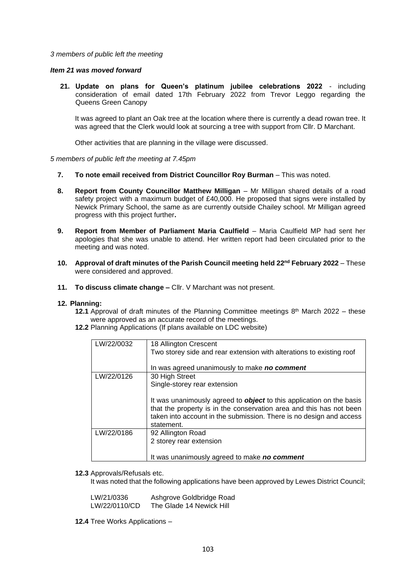### *3 members of public left the meeting*

### *Item 21 was moved forward*

**21. Update on plans for Queen's platinum jubilee celebrations 2022** - including consideration of email dated 17th February 2022 from Trevor Leggo regarding the Queens Green Canopy

It was agreed to plant an Oak tree at the location where there is currently a dead rowan tree. It was agreed that the Clerk would look at sourcing a tree with support from Cllr. D Marchant.

Other activities that are planning in the village were discussed.

*5 members of public left the meeting at 7.45pm* 

- **7. To note email received from District Councillor Roy Burman** This was noted.
- 8. **Report from County Councillor Matthew Milligan Mr Milligan shared details of a road** safety project with a maximum budget of £40,000. He proposed that signs were installed by Newick Primary School, the same as are currently outside Chailey school. Mr Milligan agreed progress with this project further**.**
- **9. Report from Member of Parliament Maria Caulfield**  Maria Caulfield MP had sent her apologies that she was unable to attend. Her written report had been circulated prior to the meeting and was noted.
- **10. Approval of draft minutes of the Parish Council meeting held 22 nd February 2022**  These were considered and approved.
- **11. To discuss climate change –** Cllr. V Marchant was not present.

### **12. Planning:**

- **12.1** Approval of draft minutes of the Planning Committee meetings 8<sup>th</sup> March 2022 these were approved as an accurate record of the meetings.
- **12.2** Planning Applications (If plans available on LDC website)

| LW/22/0032 | 18 Allington Crescent<br>Two storey side and rear extension with alterations to existing roof<br>In was agreed unanimously to make no comment                                                                                                                               |
|------------|-----------------------------------------------------------------------------------------------------------------------------------------------------------------------------------------------------------------------------------------------------------------------------|
| LW/22/0126 | 30 High Street<br>Single-storey rear extension<br>It was unanimously agreed to <b>object</b> to this application on the basis<br>that the property is in the conservation area and this has not been<br>taken into account in the submission. There is no design and access |
|            | statement.                                                                                                                                                                                                                                                                  |
| LW/22/0186 | 92 Allington Road<br>2 storey rear extension                                                                                                                                                                                                                                |
|            | It was unanimously agreed to make no comment                                                                                                                                                                                                                                |

**12.3** Approvals/Refusals etc.

It was noted that the following applications have been approved by Lewes District Council;

| LW/21/0336    | Ashgrove Goldbridge Road |
|---------------|--------------------------|
| LW/22/0110/CD | The Glade 14 Newick Hill |

**12.4** Tree Works Applications –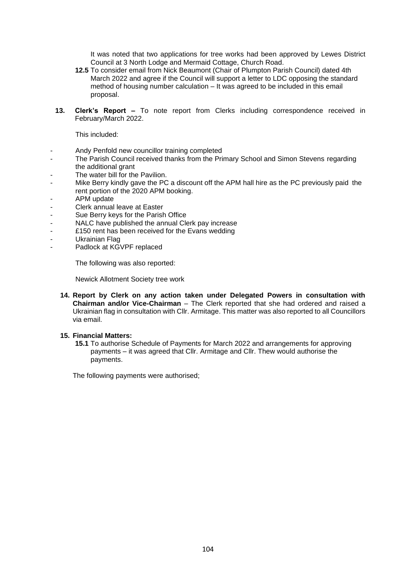It was noted that two applications for tree works had been approved by Lewes District Council at 3 North Lodge and Mermaid Cottage, Church Road.

- **12.5** To consider email from Nick Beaumont (Chair of Plumpton Parish Council) dated 4th March 2022 and agree if the Council will support a letter to LDC opposing the standard method of housing number calculation – It was agreed to be included in this email proposal.
- **13. Clerk's Report –** To note report from Clerks including correspondence received in February/March 2022.

This included:

- Andy Penfold new councillor training completed
- The Parish Council received thanks from the Primary School and Simon Stevens regarding the additional grant
- The water bill for the Pavilion.
- Mike Berry kindly gave the PC a discount off the APM hall hire as the PC previously paid the rent portion of the 2020 APM booking.
- APM update
- Clerk annual leave at Easter
- Sue Berry keys for the Parish Office
- NALC have published the annual Clerk pay increase
- £150 rent has been received for the Evans wedding
- Ukrainian Flag
- Padlock at KGVPF replaced

The following was also reported:

Newick Allotment Society tree work

**14. Report by Clerk on any action taken under Delegated Powers in consultation with Chairman and/or Vice-Chairman** – The Clerk reported that she had ordered and raised a Ukrainian flag in consultation with Cllr. Armitage. This matter was also reported to all Councillors via email.

### **15. Financial Matters:**

**15.1** To authorise Schedule of Payments for March 2022 and arrangements for approving payments – it was agreed that Cllr. Armitage and Cllr. Thew would authorise the payments.

The following payments were authorised;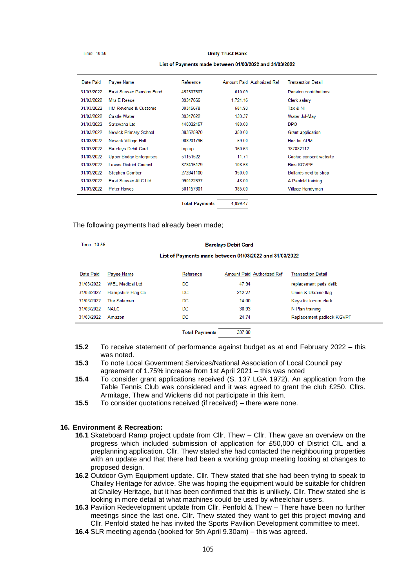Time: 10:58

#### **Unity Trust Bank**

#### List of Payments made between 01/03/2022 and 31/03/2022

| Date Paid  | Payee Name                      | Reference | Amount Paid Authorized Ref | <b>Transaction Detail</b>    |
|------------|---------------------------------|-----------|----------------------------|------------------------------|
| 31/03/2022 | <b>East Sussex Pension Fund</b> | 452307607 | 610.09                     | <b>Pension contributions</b> |
| 31/03/2022 | Mrs E Reece                     | 39347666  | 1,721.16                   | Clerk salary                 |
| 31/03/2022 | <b>HM Revenue &amp; Customs</b> | 39345678  | 581.93                     | Tax & NI                     |
| 31/03/2022 | <b>Castle Water</b>             | 39347622  | 133.37                     | Water Jul-May                |
| 31/03/2022 | Satswana Ltd                    | 440322157 | 180.00                     | <b>DPO</b>                   |
| 31/03/2022 | Newick Primary School           | 383525970 | 350.00                     | Grant application            |
| 31/03/2022 | Newick Village Hall             | 908201796 | 59.00                      | <b>Hire for APM</b>          |
| 31/03/2022 | <b>Barclays Debit Card</b>      | top up    | 360.63                     | 387882112                    |
| 31/03/2022 | Upper Bridge Enterprises        | 51151522  | 11.71                      | Cookie consent website       |
| 31/03/2022 | Lewes District Council          | 878415179 | 108.58                     | <b>Bins KGVPF</b>            |
| 31/03/2022 | <b>Stephen Comber</b>           | 272841100 | 350.00                     | Bollards next to shop        |
| 31/03/2022 | Fast Sussex ALC Ltd.            | 990122637 | 48.00                      | A Penfold training           |
| 31/03/2022 | Peter Howes                     | 501157801 | 385.00                     | Village Handyman             |
|            |                                 |           |                            |                              |

4 899 47 **Total Payments** 

## The following payments had already been made;

Time: 10:56

#### **Barclays Debit Card**

### List of Payments made between 01/03/2022 and 31/03/2022

| Date Paid  | Payee Name               | Reference | Amount Paid Authorized Ref | Transaction Detail        |
|------------|--------------------------|-----------|----------------------------|---------------------------|
| 31/03/2022 | WFI Medical Ltd          | DC        | 47.94                      | replacement pads defib    |
| 31/03/2022 | <b>Hampshire Flag Co</b> | DC        | 212.27                     | Union & Ukraine flag      |
| 31/03/2022 | The Soleman              | DC        | 14.00                      | Keys for locum clerk      |
| 31/03/2022 | <b>NALC</b>              | DC        | 38.93                      | N Plan training           |
| 31/03/2022 | Amazon                   | DC        | 24.74                      | Replacement padlock KGVPF |
|            |                          |           |                            |                           |

33788 **Total Payments** 

- **15.2** To receive statement of performance against budget as at end February 2022 this was noted.
- **15.3** To note Local Government Services/National Association of Local Council pay agreement of 1.75% increase from 1st April 2021 – this was noted
- **15.4** To consider grant applications received (S. 137 LGA 1972). An application from the Table Tennis Club was considered and it was agreed to grant the club £250. Cllrs. Armitage, Thew and Wickens did not participate in this item.
- **15.5** To consider quotations received (if received) there were none.

### **16. Environment & Recreation:**

- 16.1 Skateboard Ramp project update from Cllr. Thew Cllr. Thew gave an overview on the progress which included submission of application for £50,000 of District CIL and a preplanning application. Cllr. Thew stated she had contacted the neighbouring properties with an update and that there had been a working group meeting looking at changes to proposed design.
- **16.2** Outdoor Gym Equipment update. Cllr. Thew stated that she had been trying to speak to Chailey Heritage for advice. She was hoping the equipment would be suitable for children at Chailey Heritage, but it has been confirmed that this is unlikely. Cllr. Thew stated she is looking in more detail at what machines could be used by wheelchair users.
- **16.3** Pavilion Redevelopment update from Cllr. Penfold & Thew There have been no further meetings since the last one. Cllr. Thew stated they want to get this project moving and Cllr. Penfold stated he has invited the Sports Pavilion Development committee to meet.
- **16.4** SLR meeting agenda (booked for 5th April 9.30am) this was agreed.